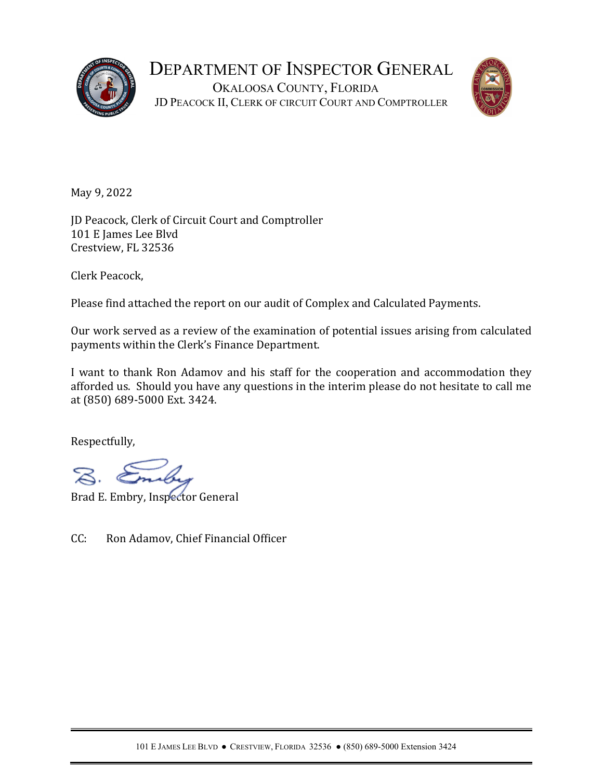



May 9, 2022

JD Peacock, Clerk of Circuit Court and Comptroller 101 E James Lee Blvd Crestview, FL 32536

Clerk Peacock,

Please find attached the report on our audit of Complex and Calculated Payments.

Our work served as a review of the examination of potential issues arising from calculated payments within the Clerk's Finance Department.

I want to thank Ron Adamov and his staff for the cooperation and accommodation they afforded us. Should you have any questions in the interim please do not hesitate to call me at (850) 689-5000 Ext. 3424.

Respectfully,

Brad E. Embry, Inspector General

CC: Ron Adamov, Chief Financial Officer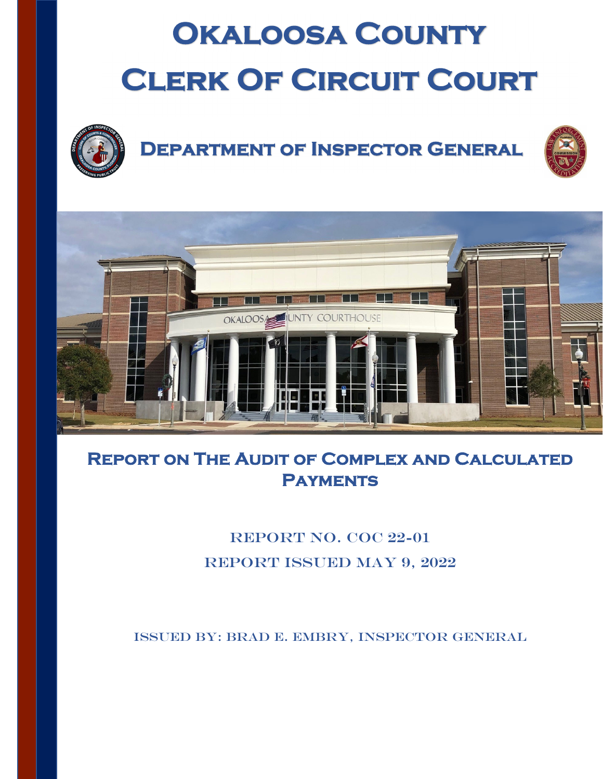# **Okaloosa County CLERK OF CIRCUIT COURT**



# **Department of Inspector General**





## **Report on The Audit of Complex and Calculated Payments**

### REPORT NO. COC 22-01 Report Issued May 9, 2022

Issued By: Brad E. Embry, Inspector General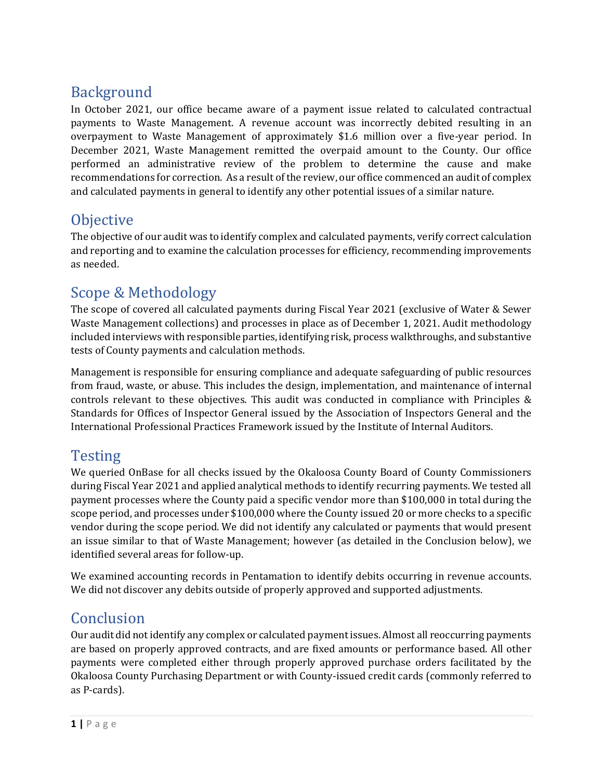#### Background

In October 2021, our office became aware of a payment issue related to calculated contractual payments to Waste Management. A revenue account was incorrectly debited resulting in an overpayment to Waste Management of approximately \$1.6 million over a five-year period. In December 2021, Waste Management remitted the overpaid amount to the County. Our office performed an administrative review of the problem to determine the cause and make recommendations for correction. As a result of the review, our office commenced an audit of complex and calculated payments in general to identify any other potential issues of a similar nature.

#### **Objective**

The objective of our audit was to identify complex and calculated payments, verify correct calculation and reporting and to examine the calculation processes for efficiency, recommending improvements as needed.

#### Scope & Methodology

The scope of covered all calculated payments during Fiscal Year 2021 (exclusive of Water & Sewer Waste Management collections) and processes in place as of December 1, 2021. Audit methodology included interviews with responsible parties, identifying risk, process walkthroughs, and substantive tests of County payments and calculation methods.

Management is responsible for ensuring compliance and adequate safeguarding of public resources from fraud, waste, or abuse. This includes the design, implementation, and maintenance of internal controls relevant to these objectives. This audit was conducted in compliance with Principles & Standards for Offices of Inspector General issued by the Association of Inspectors General and the International Professional Practices Framework issued by the Institute of Internal Auditors.

#### **Testing**

We queried OnBase for all checks issued by the Okaloosa County Board of County Commissioners during Fiscal Year 2021 and applied analytical methods to identify recurring payments. We tested all payment processes where the County paid a specific vendor more than \$100,000 in total during the scope period, and processes under \$100,000 where the County issued 20 or more checks to a specific vendor during the scope period. We did not identify any calculated or payments that would present an issue similar to that of Waste Management; however (as detailed in the Conclusion below), we identified several areas for follow-up.

We examined accounting records in Pentamation to identify debits occurring in revenue accounts. We did not discover any debits outside of properly approved and supported adjustments.

#### Conclusion

Our audit did not identify any complex or calculated payment issues. Almost all reoccurring payments are based on properly approved contracts, and are fixed amounts or performance based. All other payments were completed either through properly approved purchase orders facilitated by the Okaloosa County Purchasing Department or with County-issued credit cards (commonly referred to as P-cards).